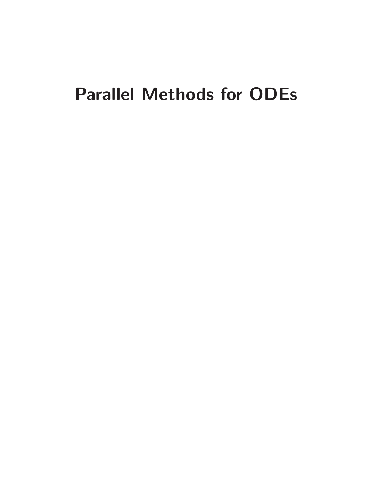# Parallel Methods for ODEs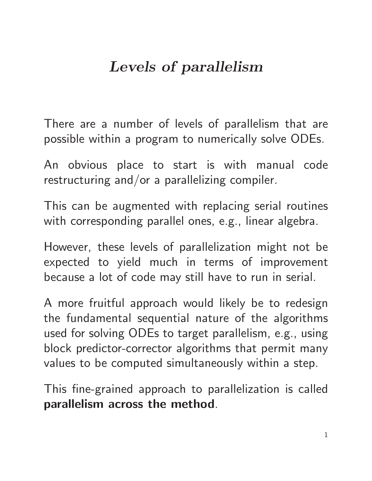# Levels of parallelism

There are a number of levels of parallelism that are possible within a program to numerically solve ODEs.

An obvious place to start is with manual code restructuring and/or a parallelizing compiler.

This can be augmented with replacing serial routines with corresponding parallel ones, e.g., linear algebra.

However, these levels of parallelization might not be expected to yield much in terms of improvement because a lot of code may still have to run in serial.

A more fruitful approach would likely be to redesign the fundamental sequential nature of the algorithms used for solving ODEs to target parallelism, e.g., using block predictor-corrector algorithms that permit many values to be computed simultaneously within a step.

This fine-grained approach to parallelization is called parallelism across the method.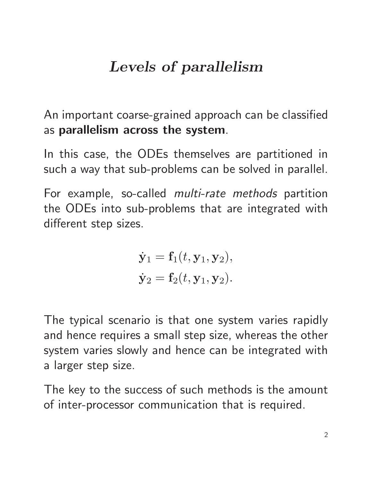# Levels of parallelism

An important coarse-grained approach can be classified as parallelism across the system.

In this case, the ODEs themselves are partitioned in such a way that sub-problems can be solved in parallel.

For example, so-called multi-rate methods partition the ODEs into sub-problems that are integrated with different step sizes.

$$
\dot{\mathbf{y}}_1 = \mathbf{f}_1(t, \mathbf{y}_1, \mathbf{y}_2),
$$
  

$$
\dot{\mathbf{y}}_2 = \mathbf{f}_2(t, \mathbf{y}_1, \mathbf{y}_2).
$$

The typical scenario is that one system varies rapidly and hence requires a small step size, whereas the other system varies slowly and hence can be integrated with a larger step size.

The key to the success of such methods is the amount of inter-processor communication that is required.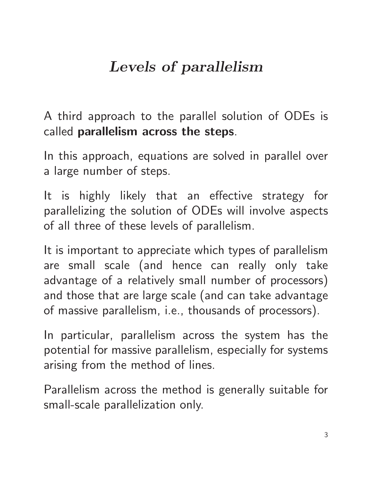# Levels of parallelism

A third approach to the parallel solution of ODEs is called parallelism across the steps.

In this approach, equations are solved in parallel over a large number of steps.

It is highly likely that an effective strategy for parallelizing the solution of ODEs will involve aspects of all three of these levels of parallelism.

It is important to appreciate which types of parallelism are small scale (and hence can really only take advantage of a relatively small number of processors) and those that are large scale (and can take advantage of massive parallelism, i.e., thousands of processors).

In particular, parallelism across the system has the potential for massive parallelism, especially for systems arising from the method of lines.

Parallelism across the method is generally suitable for small-scale parallelization only.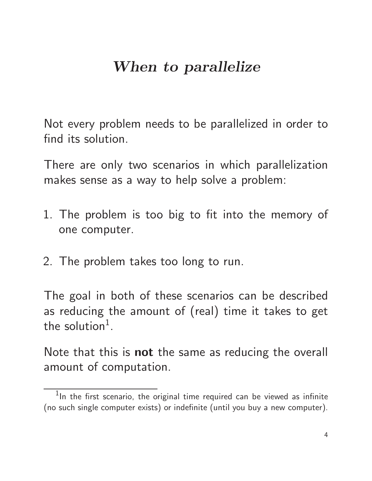### When to parallelize

Not every problem needs to be parallelized in order to find its solution.

There are only two scenarios in which parallelization makes sense as a way to help solve a problem:

- 1. The problem is too big to fit into the memory of one computer.
- 2. The problem takes too long to run.

The goal in both of these scenarios can be described as reducing the amount of (real) time it takes to get the solution<sup>1</sup>.

Note that this is **not** the same as reducing the overall amount of computation.

 $^1$ In the first scenario, the original time required can be viewed as infinite (no such single computer exists) or indefinite (until you buy a new computer).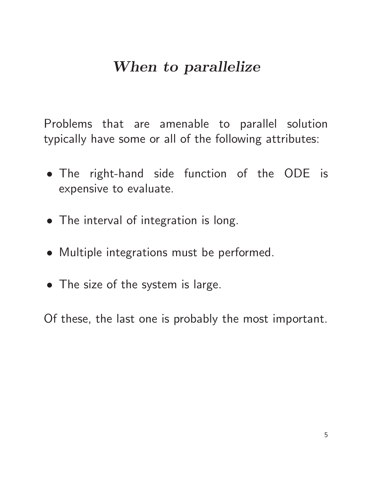### When to parallelize

Problems that are amenable to parallel solution typically have some or all of the following attributes:

- The right-hand side function of the ODE is expensive to evaluate.
- The interval of integration is long.
- Multiple integrations must be performed.
- The size of the system is large.

Of these, the last one is probably the most important.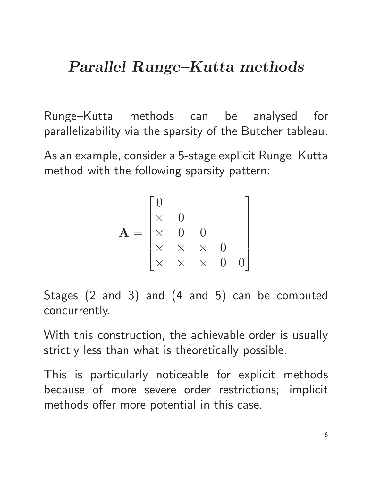### Parallel Runge–Kutta methods

Runge–Kutta methods can be analysed for parallelizability via the sparsity of the Butcher tableau.

As an example, consider a 5-stage explicit Runge–Kutta method with the following sparsity pattern:

$$
\mathbf{A} = \begin{bmatrix} 0 & & & \\ \times & 0 & 0 & \\ \times & \times & \times & 0 \\ \times & \times & \times & 0 & 0 \end{bmatrix}
$$

Stages (2 and 3) and (4 and 5) can be computed concurrently.

With this construction, the achievable order is usually strictly less than what is theoretically possible.

This is particularly noticeable for explicit methods because of more severe order restrictions; implicit methods offer more potential in this case.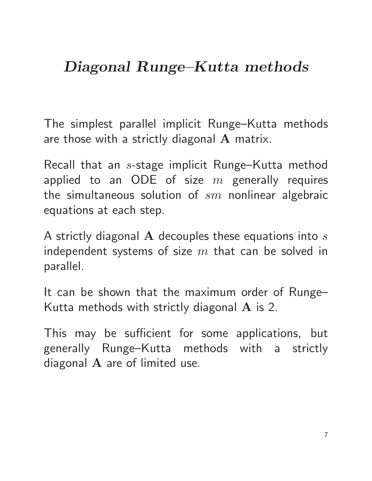# Diagonal Runge–Kutta methods

The simplest parallel implicit Runge–Kutta methods are those with a strictly diagonal A matrix.

Recall that an s-stage implicit Runge–Kutta method applied to an ODE of size  $m$  generally requires the simultaneous solution of  $sm$  nonlinear algebraic equations at each step.

A strictly diagonal  $A$  decouples these equations into  $s$ independent systems of size  $m$  that can be solved in parallel.

It can be shown that the maximum order of Runge– Kutta methods with strictly diagonal  $\bf{A}$  is 2.

This may be sufficient for some applications, but generally Runge–Kutta methods with a strictly diagonal  $A$  are of limited use.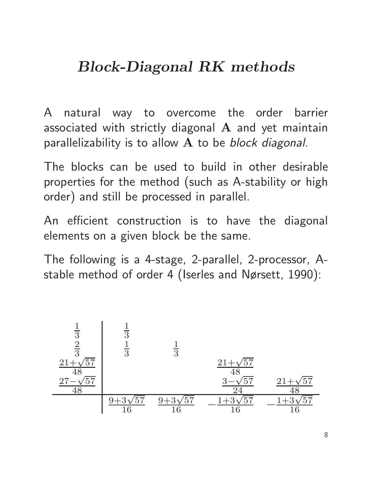A natural way to overcome the order barrier associated with strictly diagonal  $A$  and yet maintain parallelizability is to allow  $A$  to be block diagonal.

The blocks can be used to build in other desirable properties for the method (such as A-stability or high order) and still be processed in parallel.

An efficient construction is to have the diagonal elements on a given block be the same.

The following is a 4-stage, 2-parallel, 2-processor, Astable method of order 4 (Iserles and Nørsett, 1990):

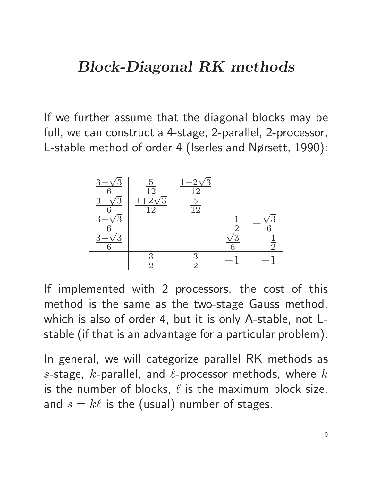If we further assume that the diagonal blocks may be full, we can construct a 4-stage, 2-parallel, 2-processor, L-stable method of order 4 (Iserles and Nørsett, 1990):



If implemented with 2 processors, the cost of this method is the same as the two-stage Gauss method, which is also of order 4, but it is only A-stable, not Lstable (if that is an advantage for a particular problem).

In general, we will categorize parallel RK methods as s-stage, k-parallel, and  $\ell$ -processor methods, where  $k$ is the number of blocks,  $\ell$  is the maximum block size, and  $s = k\ell$  is the (usual) number of stages.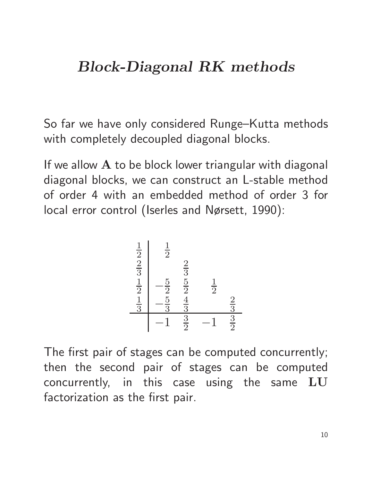So far we have only considered Runge–Kutta methods with completely decoupled diagonal blocks.

If we allow  $A$  to be block lower triangular with diagonal diagonal blocks, we can construct an L-stable method of order 4 with an embedded method of order 3 for local error control (Iserles and Nørsett, 1990):



The first pair of stages can be computed concurrently; then the second pair of stages can be computed concurrently, in this case using the same LU factorization as the first pair.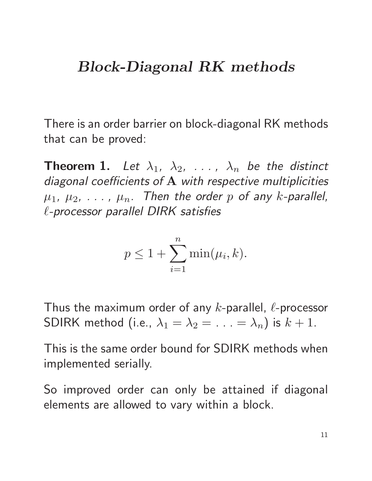There is an order barrier on block-diagonal RK methods that can be proved:

**Theorem 1.** Let  $\lambda_1$ ,  $\lambda_2$ , ...,  $\lambda_n$  be the distinct diagonal coefficients of A with respective multiplicities  $\mu_1$ ,  $\mu_2$ , ...,  $\mu_n$ . Then the order p of any k-parallel, ℓ-processor parallel DIRK satisfies

$$
p \le 1 + \sum_{i=1}^{n} \min(\mu_i, k).
$$

Thus the maximum order of any  $k$ -parallel,  $\ell$ -processor SDIRK method (i.e.,  $\lambda_1 = \lambda_2 = \ldots = \lambda_n$ ) is  $k + 1$ .

This is the same order bound for SDIRK methods when implemented serially.

So improved order can only be attained if diagonal elements are allowed to vary within a block.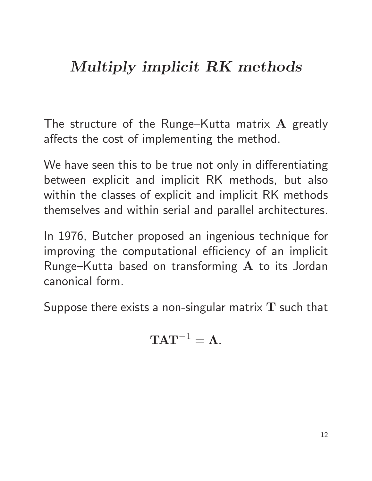# Multiply implicit RK methods

The structure of the Runge–Kutta matrix A greatly affects the cost of implementing the method.

We have seen this to be true not only in differentiating between explicit and implicit RK methods, but also within the classes of explicit and implicit RK methods themselves and within serial and parallel architectures.

In 1976, Butcher proposed an ingenious technique for improving the computational efficiency of an implicit Runge–Kutta based on transforming A to its Jordan canonical form.

Suppose there exists a non-singular matrix  $T$  such that

$$
\mathbf{TAT}^{-1}=\mathbf{\Lambda}.
$$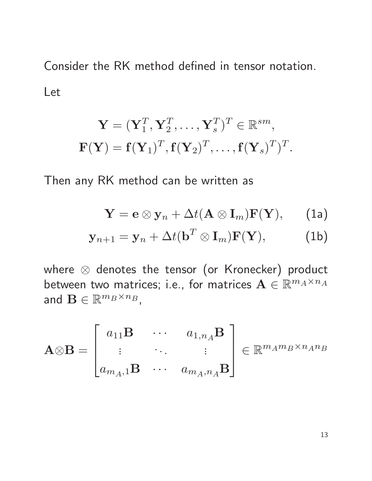Consider the RK method defined in tensor notation. Let

$$
\mathbf{Y} = (\mathbf{Y}_1^T, \mathbf{Y}_2^T, \dots, \mathbf{Y}_s^T)^T \in \mathbb{R}^{sm},
$$
  

$$
\mathbf{F}(\mathbf{Y}) = \mathbf{f}(\mathbf{Y}_1)^T, \mathbf{f}(\mathbf{Y}_2)^T, \dots, \mathbf{f}(\mathbf{Y}_s)^T)^T.
$$

Then any RK method can be written as

$$
\mathbf{Y} = \mathbf{e} \otimes \mathbf{y}_n + \Delta t (\mathbf{A} \otimes \mathbf{I}_m) \mathbf{F}(\mathbf{Y}), \qquad (1a)
$$

$$
\mathbf{y}_{n+1} = \mathbf{y}_n + \Delta t (\mathbf{b}^T \otimes \mathbf{I}_m) \mathbf{F}(\mathbf{Y}), \tag{1b}
$$

where ⊗ denotes the tensor (or Kronecker) product between two matrices; i.e., for matrices  $\mathbf{A} \in \mathbb{R}^{m_A \times n_A}$ and  $\mathbf{B} \in \mathbb{R}^{m_B \times n_B}$ ,

$$
\mathbf{A} \otimes \mathbf{B} = \begin{bmatrix} a_{11} \mathbf{B} & \cdots & a_{1,n_A} \mathbf{B} \\ \vdots & \ddots & \vdots \\ a_{m_A,1} \mathbf{B} & \cdots & a_{m_A,n_A} \mathbf{B} \end{bmatrix} \in \mathbb{R}^{m_A m_B \times n_A n_B}
$$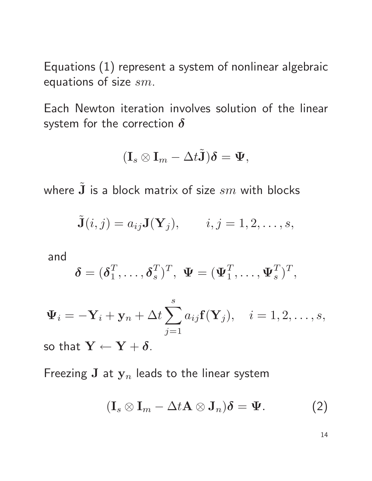Equations (1) represent a system of nonlinear algebraic equations of size sm.

Each Newton iteration involves solution of the linear system for the correction  $\delta$ 

$$
(\mathbf{I}_s \otimes \mathbf{I}_m - \Delta t \tilde{\mathbf{J}})\boldsymbol{\delta} = \mathbf{\Psi},
$$

where  $\tilde{\mathbf{J}}$  is a block matrix of size  $sm$  with blocks

$$
\tilde{\mathbf{J}}(i,j) = a_{ij} \mathbf{J}(\mathbf{Y}_j), \qquad i,j = 1,2,\ldots,s,
$$

and

$$
\boldsymbol{\delta} = (\boldsymbol{\delta}_1^T, \dots, \boldsymbol{\delta}_s^T)^T, \ \boldsymbol{\Psi} = (\boldsymbol{\Psi}_1^T, \dots, \boldsymbol{\Psi}_s^T)^T,
$$

$$
\mathbf{\Psi}_i = -\mathbf{Y}_i + \mathbf{y}_n + \Delta t \sum_{j=1}^s a_{ij} \mathbf{f}(\mathbf{Y}_j), \quad i = 1, 2, \dots, s,
$$

so that  $Y \leftarrow Y + \delta$ .

Freezing J at  $y_n$  leads to the linear system

$$
(\mathbf{I}_s \otimes \mathbf{I}_m - \Delta t \mathbf{A} \otimes \mathbf{J}_n)\boldsymbol{\delta} = \boldsymbol{\Psi}.
$$
 (2)

14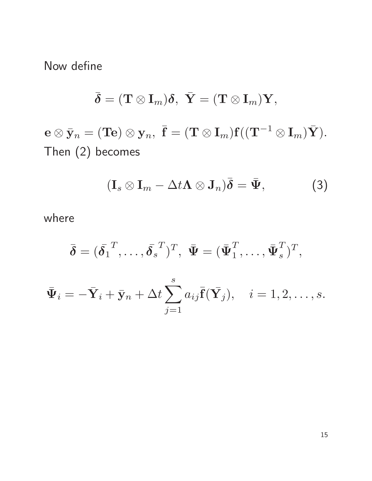Now define

$$
\bar{\boldsymbol{\delta}} = (\mathbf{T} \otimes \mathbf{I}_m) \boldsymbol{\delta}, \,\, \bar{\mathbf{Y}} = (\mathbf{T} \otimes \mathbf{I}_m) \mathbf{Y},
$$

 $\mathbf{e}\otimes\bar{\mathbf{y}}_n=(\mathbf{T}\mathbf{e})\otimes\mathbf{y}_n, \,\, \bar{\mathbf{f}}=(\mathbf{T}\otimes\mathbf{I}_m)\mathbf{f}((\mathbf{T}^{-1}\otimes\mathbf{I}_m)\bar{\mathbf{Y}}).$ Then (2) becomes

$$
(\mathbf{I}_s \otimes \mathbf{I}_m - \Delta t \mathbf{\Lambda} \otimes \mathbf{J}_n)\bar{\boldsymbol{\delta}} = \bar{\boldsymbol{\Psi}}, \qquad (3)
$$

where

$$
\bar{\boldsymbol{\delta}}=(\bar{\boldsymbol{\delta}_1}^T,\ldots,\bar{\boldsymbol{\delta}_s}^T)^T,\,\,\bar{\boldsymbol{\Psi}}=(\bar{\boldsymbol{\Psi}}_1^T,\ldots,\bar{\boldsymbol{\Psi}}_s^T)^T,
$$

$$
\bar{\Psi}_i = -\bar{\mathbf{Y}}_i + \bar{\mathbf{y}}_n + \Delta t \sum_{j=1}^s a_{ij} \bar{\mathbf{f}}(\bar{\mathbf{Y}}_j), \quad i = 1, 2, \dots, s.
$$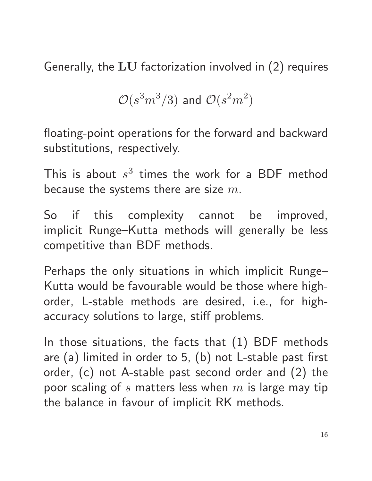Generally, the  $LU$  factorization involved in  $(2)$  requires

$$
\mathcal{O}(s^3m^3/3)
$$
 and 
$$
\mathcal{O}(s^2m^2)
$$

floating-point operations for the forward and backward substitutions, respectively.

This is about  $s^3$  times the work for a BDF method because the systems there are size  $m$ .

So if this complexity cannot be improved, implicit Runge–Kutta methods will generally be less competitive than BDF methods.

Perhaps the only situations in which implicit Runge– Kutta would be favourable would be those where highorder, L-stable methods are desired, i.e., for highaccuracy solutions to large, stiff problems.

In those situations, the facts that (1) BDF methods are (a) limited in order to 5, (b) not L-stable past first order, (c) not A-stable past second order and (2) the poor scaling of s matters less when  $m$  is large may tip the balance in favour of implicit RK methods.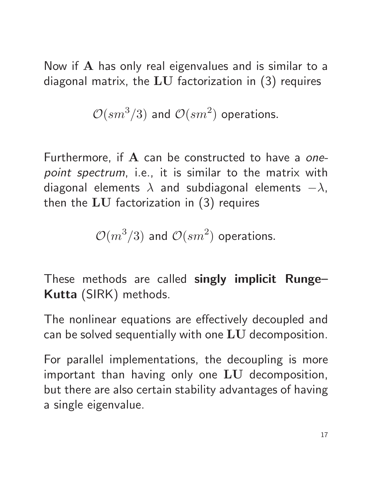Now if A has only real eigenvalues and is similar to a diagonal matrix, the  $LU$  factorization in  $(3)$  requires

$$
\mathcal{O}(sm^3/3)
$$
 and  $\mathcal{O}(sm^2)$  operations.

Furthermore, if  $A$  can be constructed to have a onepoint spectrum, i.e., it is similar to the matrix with diagonal elements  $\lambda$  and subdiagonal elements  $-\lambda$ , then the LU factorization in (3) requires

$$
\mathcal{O}(m^3/3)
$$
 and  $\mathcal{O}(sm^2)$  operations.

These methods are called singly implicit Runge– Kutta (SIRK) methods.

The nonlinear equations are effectively decoupled and can be solved sequentially with one LU decomposition.

For parallel implementations, the decoupling is more important than having only one LU decomposition, but there are also certain stability advantages of having a single eigenvalue.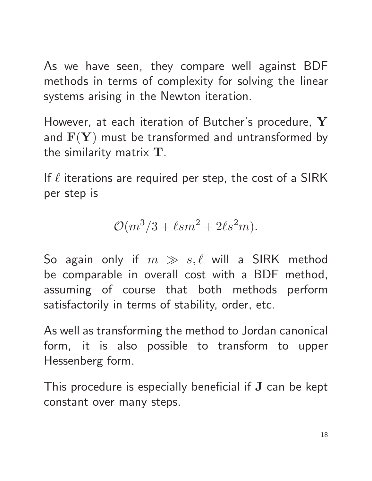As we have seen, they compare well against BDF methods in terms of complexity for solving the linear systems arising in the Newton iteration.

However, at each iteration of Butcher's procedure, Y and  $\mathbf{F}(\mathbf{Y})$  must be transformed and untransformed by the similarity matrix T.

If  $\ell$  iterations are required per step, the cost of a SIRK per step is

$$
\mathcal{O}(m^3/3 + \ell sm^2 + 2\ell s^2 m).
$$

So again only if  $m \gg s, \ell$  will a SIRK method be comparable in overall cost with a BDF method, assuming of course that both methods perform satisfactorily in terms of stability, order, etc.

As well as transforming the method to Jordan canonical form, it is also possible to transform to upper Hessenberg form.

This procedure is especially beneficial if J can be kept constant over many steps.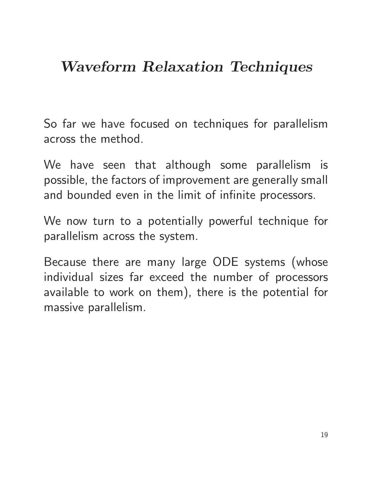## Waveform Relaxation Techniques

So far we have focused on techniques for parallelism across the method.

We have seen that although some parallelism is possible, the factors of improvement are generally small and bounded even in the limit of infinite processors.

We now turn to a potentially powerful technique for parallelism across the system.

Because there are many large ODE systems (whose individual sizes far exceed the number of processors available to work on them), there is the potential for massive parallelism.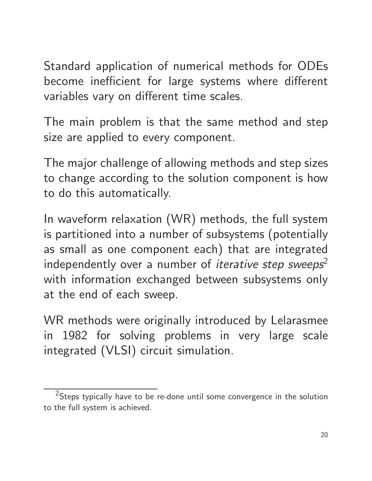Standard application of numerical methods for ODEs become inefficient for large systems where different variables vary on different time scales.

The main problem is that the same method and step size are applied to every component.

The major challenge of allowing methods and step sizes to change according to the solution component is how to do this automatically.

In waveform relaxation (WR) methods, the full system is partitioned into a number of subsystems (potentially as small as one component each) that are integrated independently over a number of *iterative step sweeps*<sup>2</sup> with information exchanged between subsystems only at the end of each sweep.

WR methods were originally introduced by Lelarasmee in 1982 for solving problems in very large scale integrated (VLSI) circuit simulation.

 $^2$ Steps typically have to be re-done until some convergence in the solution to the full system is achieved.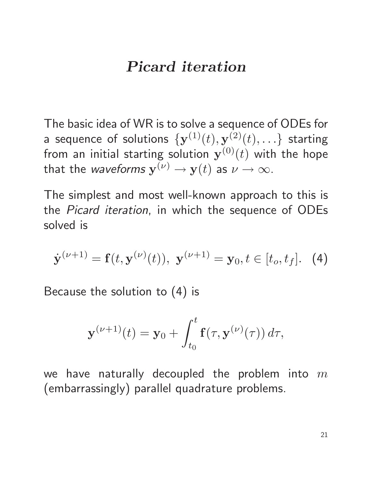#### Picard iteration

The basic idea of WR is to solve a sequence of ODEs for a sequence of solutions  $\{{\bf y}^{(1)}(t),{\bf y}^{(2)}(t),\ldots\}$  starting from an initial starting solution  $\mathbf{y}^{(0)}(t)$  with the hope that the *waveforms*  $\mathbf{y}^{(\nu)} \to \mathbf{y}(t)$  as  $\nu \to \infty.$ 

The simplest and most well-known approach to this is the Picard iteration, in which the sequence of ODEs solved is

$$
\dot{\mathbf{y}}^{(\nu+1)} = \mathbf{f}(t, \mathbf{y}^{(\nu)}(t)), \ \mathbf{y}^{(\nu+1)} = \mathbf{y}_0, t \in [t_o, t_f]. \tag{4}
$$

Because the solution to (4) is

$$
\mathbf{y}^{(\nu+1)}(t) = \mathbf{y}_0 + \int_{t_0}^t \mathbf{f}(\tau, \mathbf{y}^{(\nu)}(\tau)) d\tau,
$$

we have naturally decoupled the problem into  $m$ (embarrassingly) parallel quadrature problems.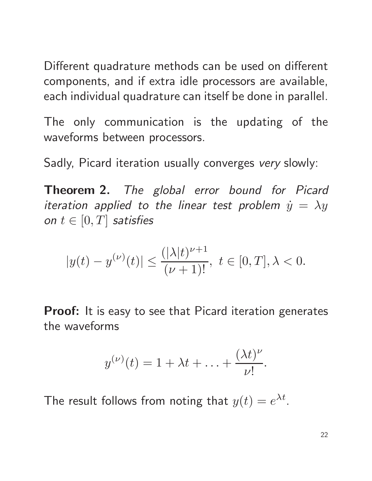Different quadrature methods can be used on different components, and if extra idle processors are available, each individual quadrature can itself be done in parallel.

The only communication is the updating of the waveforms between processors.

Sadly, Picard iteration usually converges very slowly:

Theorem 2. The global error bound for Picard iteration applied to the linear test problem  $\dot{y} = \lambda y$ on  $t \in [0, T]$  satisfies

$$
|y(t)-y^{(\nu)}(t)|\leq \frac{(|\lambda|t)^{\nu+1}}{(\nu+1)!},\ t\in [0,T], \lambda<0.
$$

**Proof:** It is easy to see that Picard iteration generates the waveforms

$$
y^{(\nu)}(t) = 1 + \lambda t + \ldots + \frac{(\lambda t)^{\nu}}{\nu!}.
$$

The result follows from noting that  $y(t) = e^{\lambda t}$ .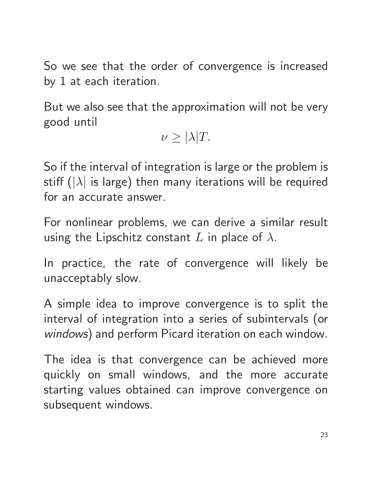So we see that the order of convergence is increased by 1 at each iteration.

But we also see that the approximation will not be very good until

 $\nu \geq |\lambda|T$ .

So if the interval of integration is large or the problem is stiff ( $|\lambda|$  is large) then many iterations will be required for an accurate answer.

For nonlinear problems, we can derive a similar result using the Lipschitz constant L in place of  $\lambda$ .

In practice, the rate of convergence will likely be unacceptably slow.

A simple idea to improve convergence is to split the interval of integration into a series of subintervals (or windows) and perform Picard iteration on each window.

The idea is that convergence can be achieved more quickly on small windows, and the more accurate starting values obtained can improve convergence on subsequent windows.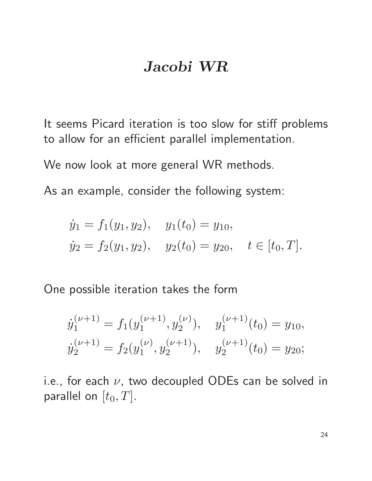#### Jacobi WR

It seems Picard iteration is too slow for stiff problems to allow for an efficient parallel implementation.

We now look at more general WR methods.

As an example, consider the following system:

$$
\dot{y}_1 = f_1(y_1, y_2),
$$
  $y_1(t_0) = y_{10},$   
\n $\dot{y}_2 = f_2(y_1, y_2),$   $y_2(t_0) = y_{20},$   $t \in [t_0, T].$ 

One possible iteration takes the form

$$
\dot{y}_1^{(\nu+1)} = f_1(y_1^{(\nu+1)}, y_2^{(\nu)}), \quad y_1^{(\nu+1)}(t_0) = y_{10},
$$
  

$$
\dot{y}_2^{(\nu+1)} = f_2(y_1^{(\nu)}, y_2^{(\nu+1)}), \quad y_2^{(\nu+1)}(t_0) = y_{20};
$$

i.e., for each  $\nu$ , two decoupled ODEs can be solved in parallel on  $[t_0, T]$ .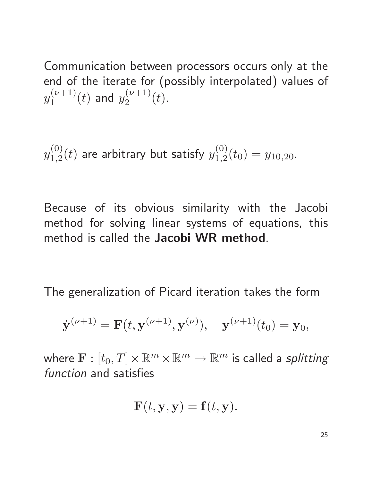Communication between processors occurs only at the end of the iterate for (possibly interpolated) values of  $y_1^{(\nu+1)}$  $j_1^{(\nu+1)}(t)$  and  $y_2^{(\nu+1)}$  $\binom{\nu+1}{2}(t)$ .

 $y_{1.2}^{\left( 0\right) }$  $\hat{\mathcal{L}}^{(0)}_{1,2}(t)$  are arbitrary but satisfy  $y^{(0)}_{1,2}$  $y_{1,2}^{(0)}(t_0) = y_{10,20}.$ 

Because of its obvious similarity with the Jacobi method for solving linear systems of equations, this method is called the Jacobi WR method.

The generalization of Picard iteration takes the form

$$
\dot{\mathbf{y}}^{(\nu+1)} = \mathbf{F}(t, \mathbf{y}^{(\nu+1)}, \mathbf{y}^{(\nu)}), \quad \mathbf{y}^{(\nu+1)}(t_0) = \mathbf{y}_0,
$$

where  $\mathbf{F}:[t_0,T]\!\times\!\mathbb{R}^m\!\times\!\mathbb{R}^m\to\mathbb{R}^m$  is called a *splitting* function and satisfies

$$
\mathbf{F}(t, \mathbf{y}, \mathbf{y}) = \mathbf{f}(t, \mathbf{y}).
$$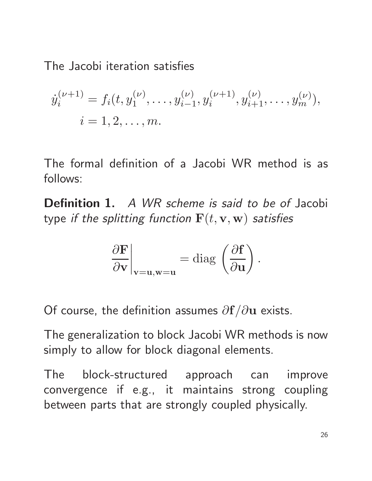The Jacobi iteration satisfies

$$
\dot{y}_i^{(\nu+1)} = f_i(t, y_1^{(\nu)}, \dots, y_{i-1}^{(\nu)}, y_i^{(\nu+1)}, y_{i+1}^{(\nu)}, \dots, y_m^{(\nu)}),
$$
  

$$
i = 1, 2, \dots, m.
$$

The formal definition of a Jacobi WR method is as follows:

Definition 1. A WR scheme is said to be of Jacobi type if the splitting function  $\mathbf{F}(t, \mathbf{v}, \mathbf{w})$  satisfies

$$
\left.\frac{\partial \mathbf{F}}{\partial \mathbf{v}}\right|_{\mathbf{v}=\mathbf{u}, \mathbf{w}=\mathbf{u}}=\mathrm{diag}\,\left(\frac{\partial \mathbf{f}}{\partial \mathbf{u}}\right).
$$

Of course, the definition assumes  $\partial f/\partial u$  exists.

The generalization to block Jacobi WR methods is now simply to allow for block diagonal elements.

The block-structured approach can improve convergence if e.g., it maintains strong coupling between parts that are strongly coupled physically.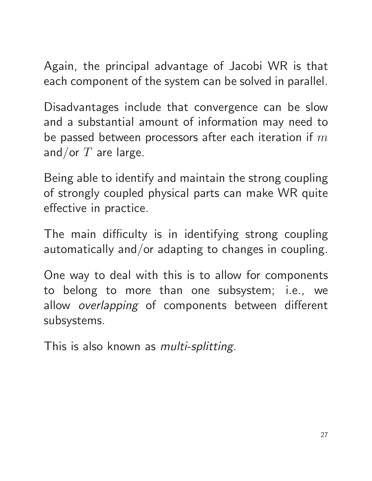Again, the principal advantage of Jacobi WR is that each component of the system can be solved in parallel.

Disadvantages include that convergence can be slow and a substantial amount of information may need to be passed between processors after each iteration if  $m$ and/or  $T$  are large.

Being able to identify and maintain the strong coupling of strongly coupled physical parts can make WR quite effective in practice.

The main difficulty is in identifying strong coupling automatically and/or adapting to changes in coupling.

One way to deal with this is to allow for components to belong to more than one subsystem; i.e., we allow overlapping of components between different subsystems.

This is also known as *multi-splitting*.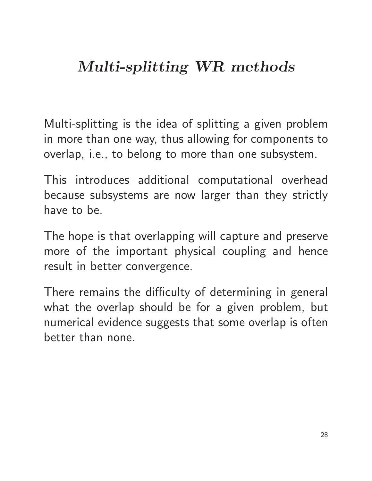# Multi-splitting WR methods

Multi-splitting is the idea of splitting a given problem in more than one way, thus allowing for components to overlap, i.e., to belong to more than one subsystem.

This introduces additional computational overhead because subsystems are now larger than they strictly have to be.

The hope is that overlapping will capture and preserve more of the important physical coupling and hence result in better convergence.

There remains the difficulty of determining in general what the overlap should be for a given problem, but numerical evidence suggests that some overlap is often better than none.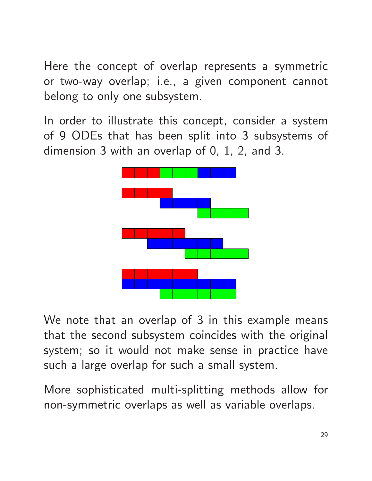Here the concept of overlap represents a symmetric or two-way overlap; i.e., a given component cannot belong to only one subsystem.

In order to illustrate this concept, consider a system of 9 ODEs that has been split into 3 subsystems of dimension 3 with an overlap of 0, 1, 2, and 3.



We note that an overlap of 3 in this example means that the second subsystem coincides with the original system; so it would not make sense in practice have such a large overlap for such a small system.

More sophisticated multi-splitting methods allow for non-symmetric overlaps as well as variable overlaps.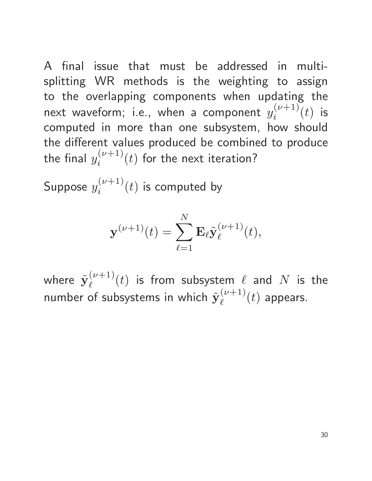A final issue that must be addressed in multisplitting WR methods is the weighting to assign to the overlapping components when updating the next waveform; i.e., when a component  $y_i^{(\nu+1)}$  $\binom{\nu+1}{i}(t)$  is computed in more than one subsystem, how should the different values produced be combined to produce the final  $y_i^{(\nu+1)}$  $i^{(\nu+1)}(t)$  for the next iteration?

Suppose  $y_i^{(\nu+1)}$  $i^{(\nu+1)}(t)$  is computed by

$$
\mathbf{y}^{(\nu+1)}(t) = \sum_{\ell=1}^N \mathbf{E}_{\ell} \tilde{\mathbf{y}}_{\ell}^{(\nu+1)}(t),
$$

where  $\tilde{\textbf{y}}_{\ell}^{(\nu+1)}$  $\ell^{(\nu+1)}(t)$  is from subsystem  $\ell$  and  $N$  is the number of subsystems in which  $\tilde{\textbf{y}}_{\ell}^{(\nu+1)}$  $\binom{\nu+1}{\ell}(t)$  appears.